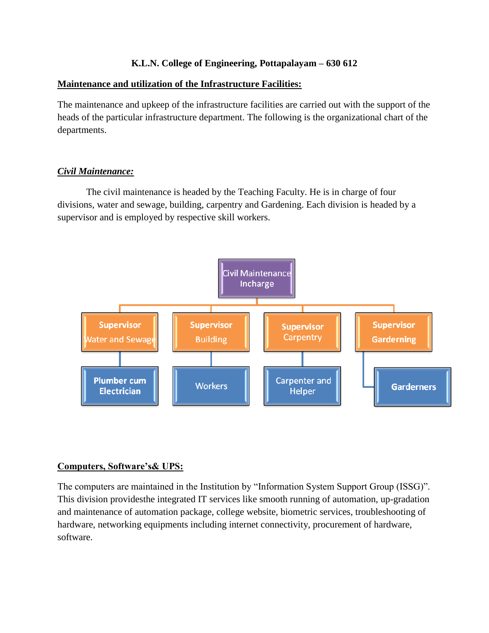# **K.L.N. College of Engineering, Pottapalayam – 630 612**

#### **Maintenance and utilization of the Infrastructure Facilities:**

The maintenance and upkeep of the infrastructure facilities are carried out with the support of the heads of the particular infrastructure department. The following is the organizational chart of the departments.

# *Civil Maintenance:*

The civil maintenance is headed by the Teaching Faculty. He is in charge of four divisions, water and sewage, building, carpentry and Gardening. Each division is headed by a supervisor and is employed by respective skill workers.



# **Computers, Software's& UPS:**

The computers are maintained in the Institution by "Information System Support Group (ISSG)". This division providesthe integrated IT services like smooth running of automation, up-gradation and maintenance of automation package, college website, biometric services, troubleshooting of hardware, networking equipments including internet connectivity, procurement of hardware, software.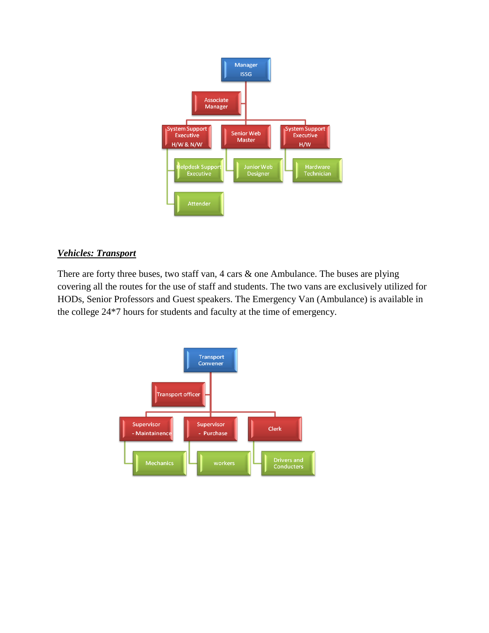

# *Vehicles: Transport*

There are forty three buses, two staff van, 4 cars & one Ambulance. The buses are plying covering all the routes for the use of staff and students. The two vans are exclusively utilized for HODs, Senior Professors and Guest speakers. The Emergency Van (Ambulance) is available in the college 24\*7 hours for students and faculty at the time of emergency.

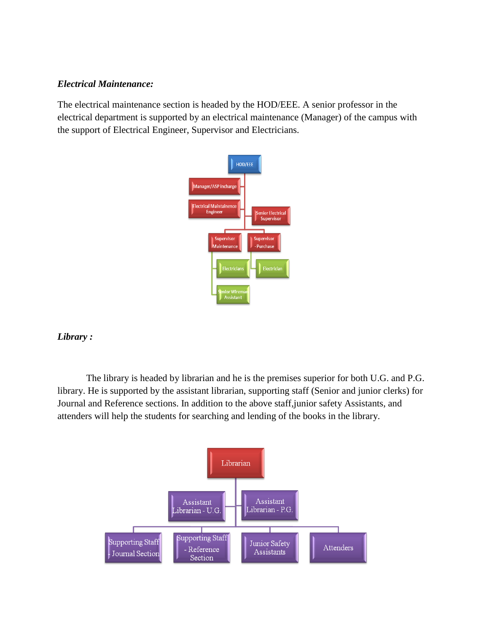#### *Electrical Maintenance:*

The electrical maintenance section is headed by the HOD/EEE. A senior professor in the electrical department is supported by an electrical maintenance (Manager) of the campus with the support of Electrical Engineer, Supervisor and Electricians.



# *Library :*

The library is headed by librarian and he is the premises superior for both U.G. and P.G. library. He is supported by the assistant librarian, supporting staff (Senior and junior clerks) for Journal and Reference sections. In addition to the above staff,junior safety Assistants, and attenders will help the students for searching and lending of the books in the library.

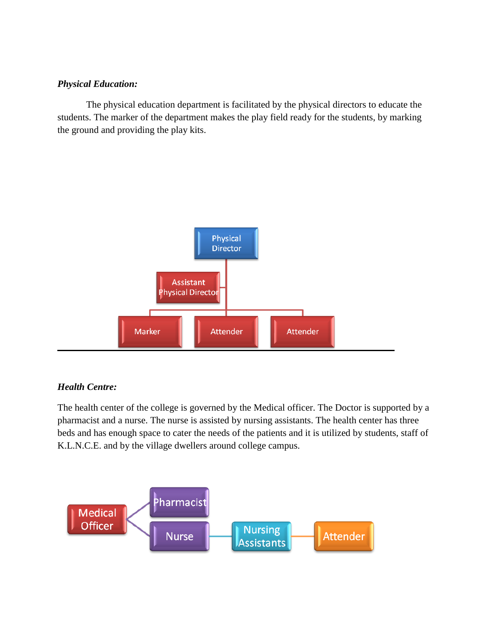#### *Physical Education:*

The physical education department is facilitated by the physical directors to educate the students. The marker of the department makes the play field ready for the students, by marking the ground and providing the play kits.



# *Health Centre:*

The health center of the college is governed by the Medical officer. The Doctor is supported by a pharmacist and a nurse. The nurse is assisted by nursing assistants. The health center has three beds and has enough space to cater the needs of the patients and it is utilized by students, staff of K.L.N.C.E. and by the village dwellers around college campus.